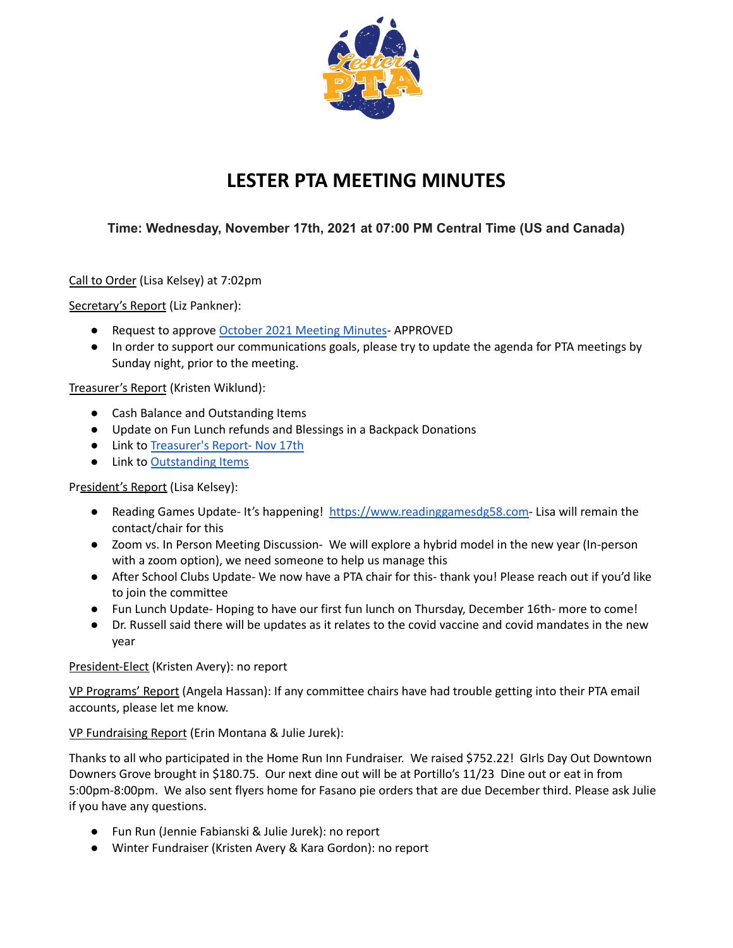

## **LESTER PTA MEETING MINUTES**

## **Time: Wednesday, November 17th, 2021 at 07:00 PM Central Time (US and Canada)**

Call to Order (Lisa Kelsey) at 7:02pm

Secretary's Report (Liz Pankner):

- Request to approve October 2021 [Meeting](https://docs.google.com/document/u/2/d/1xWFUIsCCZ_5fIFEOFuNQkJ81xeo_mBzXN-ysJjHF6QU/edit) Minutes-APPROVED
- In order to support our communications goals, please try to update the agenda for PTA meetings by Sunday night, prior to the meeting.

Treasurer's Report (Kristen Wiklund):

- Cash Balance and Outstanding Items
- Update on Fun Lunch refunds and Blessings in a Backpack Donations
- Link to [Treasurer's](https://drive.google.com/file/d/10K4ecLIQuIjHNjy5NO-LfMT3YXv_2sxZ/view?usp=sharing) Report- Nov 17th
- Link to [Outstanding](https://drive.google.com/file/d/18gWx_-MNRgyLLeoOVN3Y_xubOO1JGwVn/view?usp=sharing) Items

President's Report (Lisa Kelsey):

- Reading Games Update- It's happening! [https://www.readinggamesdg58.com-](https://www.readinggamesdg58.com) Lisa will remain the contact/chair for this
- Zoom vs. In Person Meeting Discussion- We will explore a hybrid model in the new year (In-person with a zoom option), we need someone to help us manage this
- After School Clubs Update- We now have a PTA chair for this- thank you! Please reach out if you'd like to join the committee
- Fun Lunch Update- Hoping to have our first fun lunch on Thursday, December 16th- more to come!
- Dr. Russell said there will be updates as it relates to the covid vaccine and covid mandates in the new year

President-Elect (Kristen Avery): no report

VP Programs' Report (Angela Hassan): If any committee chairs have had trouble getting into their PTA email accounts, please let me know.

VP Fundraising Report (Erin Montana & Julie Jurek):

Thanks to all who participated in the Home Run Inn Fundraiser. We raised \$752.22! GIrls Day Out Downtown Downers Grove brought in \$180.75. Our next dine out will be at Portillo's 11/23 Dine out or eat in from 5:00pm-8:00pm. We also sent flyers home for Fasano pie orders that are due December third. Please ask Julie if you have any questions.

- Fun Run (Jennie Fabianski & Julie Jurek): no report
- Winter Fundraiser (Kristen Avery & Kara Gordon): no report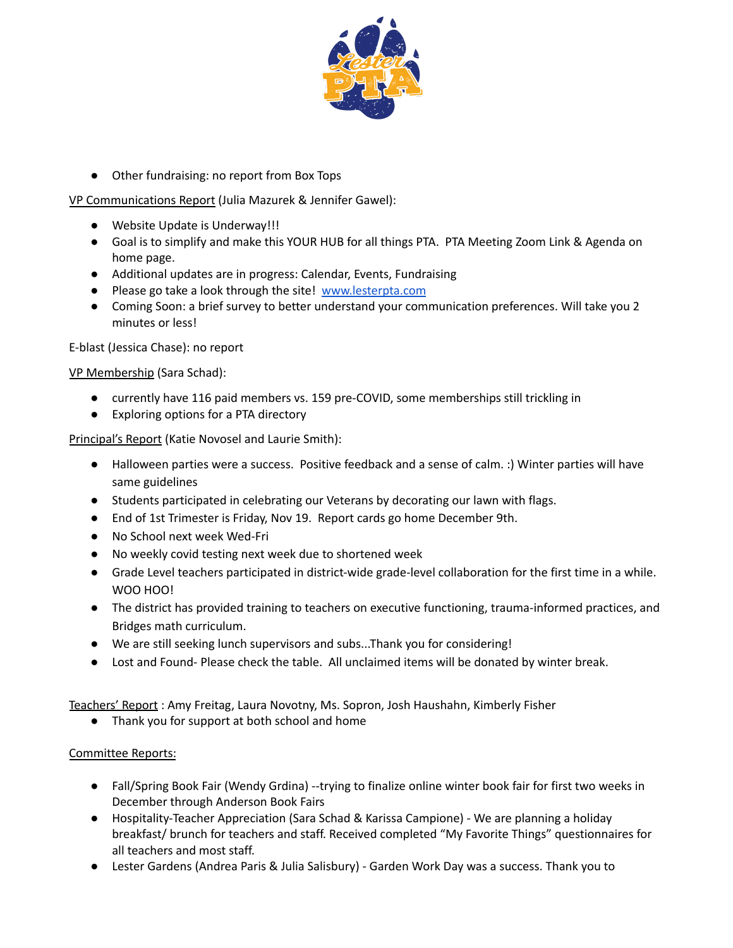

● Other fundraising: no report from Box Tops

VP Communications Report (Julia Mazurek & Jennifer Gawel):

- Website Update is Underway!!!
- Goal is to simplify and make this YOUR HUB for all things PTA. PTA Meeting Zoom Link & Agenda on home page.
- Additional updates are in progress: Calendar, Events, Fundraising
- Please go take a look through the site! [www.lesterpta.com](http://www.lesterpta.com)
- Coming Soon: a brief survey to better understand your communication preferences. Will take you 2 minutes or less!

E-blast (Jessica Chase): no report

VP Membership (Sara Schad):

- currently have 116 paid members vs. 159 pre-COVID, some memberships still trickling in
- Exploring options for a PTA directory

Principal's Report (Katie Novosel and Laurie Smith):

- Halloween parties were a success. Positive feedback and a sense of calm. :) Winter parties will have same guidelines
- Students participated in celebrating our Veterans by decorating our lawn with flags.
- End of 1st Trimester is Friday, Nov 19. Report cards go home December 9th.
- No School next week Wed-Fri
- No weekly covid testing next week due to shortened week
- Grade Level teachers participated in district-wide grade-level collaboration for the first time in a while. WOO HOO!
- The district has provided training to teachers on executive functioning, trauma-informed practices, and Bridges math curriculum.
- We are still seeking lunch supervisors and subs...Thank you for considering!
- Lost and Found- Please check the table. All unclaimed items will be donated by winter break.

Teachers' Report : Amy Freitag, Laura Novotny, Ms. Sopron, Josh Haushahn, Kimberly Fisher

● Thank you for support at both school and home

Committee Reports:

- Fall/Spring Book Fair (Wendy Grdina) --trying to finalize online winter book fair for first two weeks in December through Anderson Book Fairs
- Hospitality-Teacher Appreciation (Sara Schad & Karissa Campione) We are planning a holiday breakfast/ brunch for teachers and staff. Received completed "My Favorite Things" questionnaires for all teachers and most staff.
- Lester Gardens (Andrea Paris & Julia Salisbury) Garden Work Day was a success. Thank you to